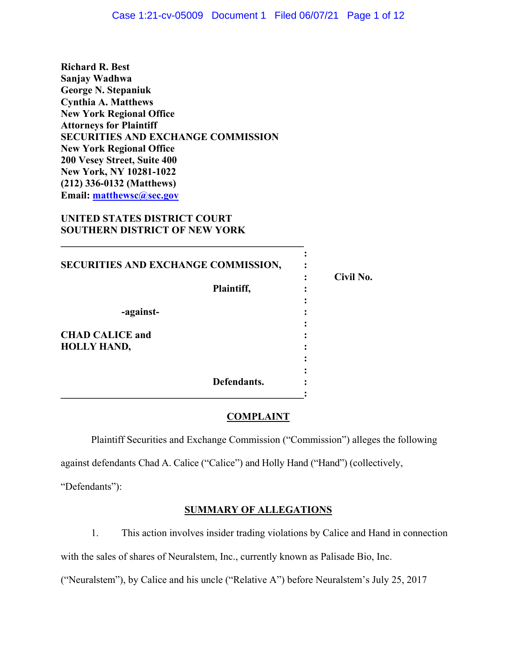**Richard R. Best Sanjay Wadhwa George N. Stepaniuk Cynthia A. Matthews New York Regional Office Attorneys for Plaintiff SECURITIES AND EXCHANGE COMMISSION New York Regional Office 200 Vesey Street, Suite 400 New York, NY 10281-1022 (212) 336-0132 (Matthews) Email: [matthewsc@sec.gov](mailto:matthewsc@sec.gov)** 

# **UNITED STATES DISTRICT COURT SOUTHERN DISTRICT OF NEW YORK**

| SECURITIES AND EXCHANGE COMMISSION, |           |
|-------------------------------------|-----------|
| Plaintiff,                          | Civil No. |
| -against-                           |           |
| <b>CHAD CALICE and</b>              |           |
| <b>HOLLY HAND,</b>                  |           |
|                                     |           |
| Defendants.                         |           |

# **COMPLAINT**

Plaintiff Securities and Exchange Commission ("Commission") alleges the following

against defendants Chad A. Calice ("Calice") and Holly Hand ("Hand") (collectively,

"Defendants"):

# **SUMMARY OF ALLEGATIONS**

1. This action involves insider trading violations by Calice and Hand in connection

with the sales of shares of Neuralstem, Inc., currently known as Palisade Bio, Inc.

("Neuralstem"), by Calice and his uncle ("Relative A") before Neuralstem's July 25, 2017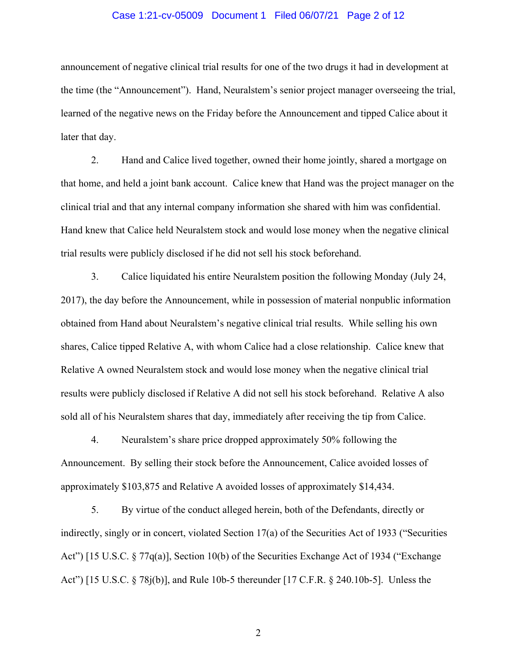#### Case 1:21-cv-05009 Document 1 Filed 06/07/21 Page 2 of 12

announcement of negative clinical trial results for one of the two drugs it had in development at the time (the "Announcement"). Hand, Neuralstem's senior project manager overseeing the trial, learned of the negative news on the Friday before the Announcement and tipped Calice about it later that day.

2. Hand and Calice lived together, owned their home jointly, shared a mortgage on that home, and held a joint bank account. Calice knew that Hand was the project manager on the clinical trial and that any internal company information she shared with him was confidential. Hand knew that Calice held Neuralstem stock and would lose money when the negative clinical trial results were publicly disclosed if he did not sell his stock beforehand.

3. Calice liquidated his entire Neuralstem position the following Monday (July 24, 2017), the day before the Announcement, while in possession of material nonpublic information obtained from Hand about Neuralstem's negative clinical trial results. While selling his own shares, Calice tipped Relative A, with whom Calice had a close relationship. Calice knew that Relative A owned Neuralstem stock and would lose money when the negative clinical trial results were publicly disclosed if Relative A did not sell his stock beforehand. Relative A also sold all of his Neuralstem shares that day, immediately after receiving the tip from Calice.

4. Neuralstem's share price dropped approximately 50% following the Announcement. By selling their stock before the Announcement, Calice avoided losses of approximately \$103,875 and Relative A avoided losses of approximately \$14,434.

5. By virtue of the conduct alleged herein, both of the Defendants, directly or indirectly, singly or in concert, violated Section 17(a) of the Securities Act of 1933 ("Securities Act") [15 U.S.C. § 77q(a)], Section 10(b) of the Securities Exchange Act of 1934 ("Exchange" Act") [15 U.S.C. § 78j(b)], and Rule 10b-5 thereunder [17 C.F.R. § 240.10b-5]. Unless the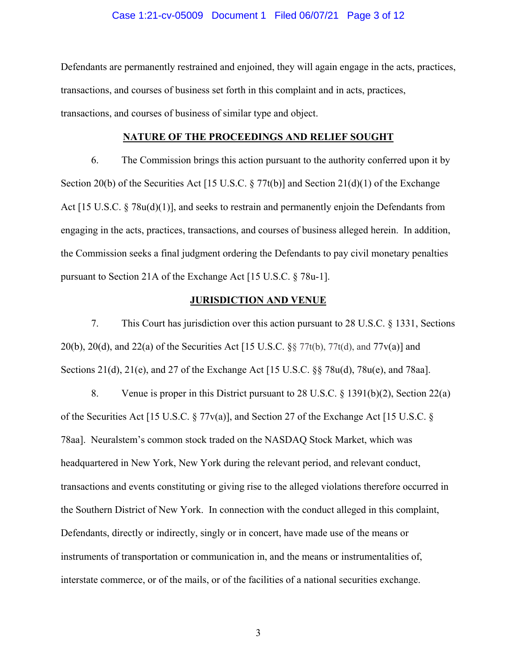#### Case 1:21-cv-05009 Document 1 Filed 06/07/21 Page 3 of 12

Defendants are permanently restrained and enjoined, they will again engage in the acts, practices, transactions, and courses of business set forth in this complaint and in acts, practices, transactions, and courses of business of similar type and object.

#### **NATURE OF THE PROCEEDINGS AND RELIEF SOUGHT**

6. The Commission brings this action pursuant to the authority conferred upon it by Section 20(b) of the Securities Act [15 U.S.C.  $\S 77t(b)$ ] and Section 21(d)(1) of the Exchange Act [15 U.S.C. § 78u(d)(1)], and seeks to restrain and permanently enjoin the Defendants from engaging in the acts, practices, transactions, and courses of business alleged herein. In addition, the Commission seeks a final judgment ordering the Defendants to pay civil monetary penalties pursuant to Section 21A of the Exchange Act [15 U.S.C. § 78u-1].

### **JURISDICTION AND VENUE**

7. This Court has jurisdiction over this action pursuant to 28 U.S.C. § 1331, Sections 20(b), 20(d), and 22(a) of the Securities Act [15 U.S.C.  $\S$  77t(b), 77t(d), and 77v(a)] and Sections 21(d), 21(e), and 27 of the Exchange Act [15 U.S.C. §§ 78u(d), 78u(e), and 78aa].

8. Venue is proper in this District pursuant to 28 U.S.C. § 1391(b)(2), Section 22(a) of the Securities Act [15 U.S.C. § 77v(a)], and Section 27 of the Exchange Act [15 U.S.C. § 78aa]. Neuralstem's common stock traded on the NASDAQ Stock Market, which was headquartered in New York, New York during the relevant period, and relevant conduct, transactions and events constituting or giving rise to the alleged violations therefore occurred in the Southern District of New York. In connection with the conduct alleged in this complaint, Defendants, directly or indirectly, singly or in concert, have made use of the means or instruments of transportation or communication in, and the means or instrumentalities of, interstate commerce, or of the mails, or of the facilities of a national securities exchange.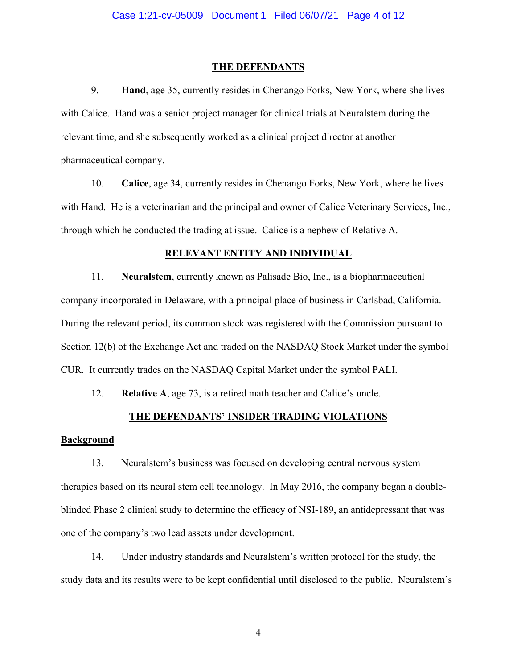#### **THE DEFENDANTS**

9. **Hand**, age 35, currently resides in Chenango Forks, New York, where she lives with Calice. Hand was a senior project manager for clinical trials at Neuralstem during the relevant time, and she subsequently worked as a clinical project director at another pharmaceutical company.

10. **Calice**, age 34, currently resides in Chenango Forks, New York, where he lives with Hand. He is a veterinarian and the principal and owner of Calice Veterinary Services, Inc., through which he conducted the trading at issue. Calice is a nephew of Relative A.

#### **RELEVANT ENTITY AND INDIVIDUAL**

11. **Neuralstem**, currently known as Palisade Bio, Inc., is a biopharmaceutical company incorporated in Delaware, with a principal place of business in Carlsbad, California. During the relevant period, its common stock was registered with the Commission pursuant to Section 12(b) of the Exchange Act and traded on the NASDAQ Stock Market under the symbol CUR. It currently trades on the NASDAQ Capital Market under the symbol PALI.

12. **Relative A**, age 73, is a retired math teacher and Calice's uncle.

#### **THE DEFENDANTS' INSIDER TRADING VIOLATIONS**

## **Background**

13. Neuralstem's business was focused on developing central nervous system therapies based on its neural stem cell technology. In May 2016, the company began a doubleblinded Phase 2 clinical study to determine the efficacy of NSI-189, an antidepressant that was one of the company's two lead assets under development.

14. Under industry standards and Neuralstem's written protocol for the study, the study data and its results were to be kept confidential until disclosed to the public. Neuralstem's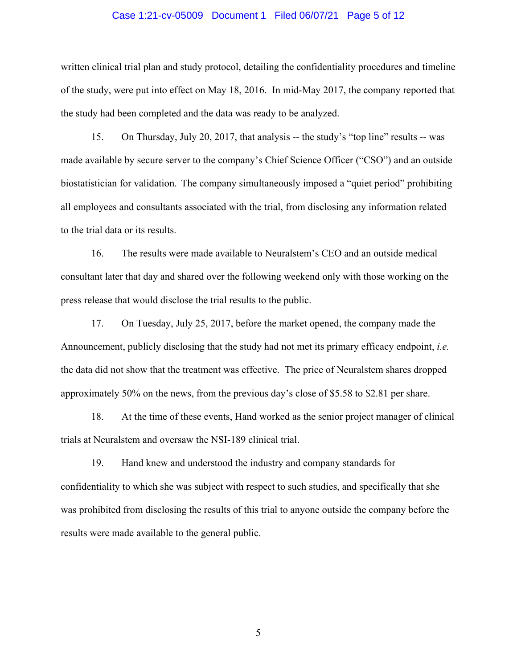#### Case 1:21-cv-05009 Document 1 Filed 06/07/21 Page 5 of 12

written clinical trial plan and study protocol, detailing the confidentiality procedures and timeline of the study, were put into effect on May 18, 2016. In mid-May 2017, the company reported that the study had been completed and the data was ready to be analyzed.

15. On Thursday, July 20, 2017, that analysis -- the study's "top line" results -- was made available by secure server to the company's Chief Science Officer ("CSO") and an outside biostatistician for validation. The company simultaneously imposed a "quiet period" prohibiting all employees and consultants associated with the trial, from disclosing any information related to the trial data or its results.

16. The results were made available to Neuralstem's CEO and an outside medical consultant later that day and shared over the following weekend only with those working on the press release that would disclose the trial results to the public.

17. On Tuesday, July 25, 2017, before the market opened, the company made the Announcement, publicly disclosing that the study had not met its primary efficacy endpoint, *i.e.* the data did not show that the treatment was effective. The price of Neuralstem shares dropped approximately 50% on the news, from the previous day's close of \$5.58 to \$2.81 per share.

18. At the time of these events, Hand worked as the senior project manager of clinical trials at Neuralstem and oversaw the NSI-189 clinical trial.

19. Hand knew and understood the industry and company standards for confidentiality to which she was subject with respect to such studies, and specifically that she was prohibited from disclosing the results of this trial to anyone outside the company before the results were made available to the general public.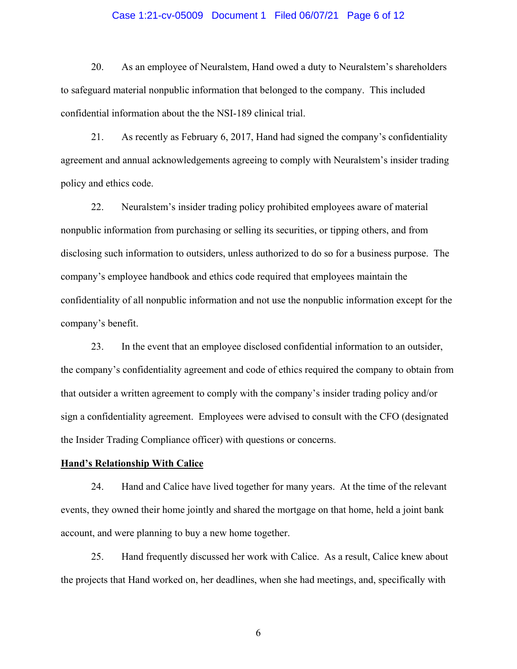#### Case 1:21-cv-05009 Document 1 Filed 06/07/21 Page 6 of 12

20. As an employee of Neuralstem, Hand owed a duty to Neuralstem's shareholders to safeguard material nonpublic information that belonged to the company. This included confidential information about the the NSI-189 clinical trial.

21. As recently as February 6, 2017, Hand had signed the company's confidentiality agreement and annual acknowledgements agreeing to comply with Neuralstem's insider trading policy and ethics code.

22. Neuralstem's insider trading policy prohibited employees aware of material nonpublic information from purchasing or selling its securities, or tipping others, and from disclosing such information to outsiders, unless authorized to do so for a business purpose. The company's employee handbook and ethics code required that employees maintain the confidentiality of all nonpublic information and not use the nonpublic information except for the company's benefit.

23. In the event that an employee disclosed confidential information to an outsider, the company's confidentiality agreement and code of ethics required the company to obtain from that outsider a written agreement to comply with the company's insider trading policy and/or sign a confidentiality agreement. Employees were advised to consult with the CFO (designated the Insider Trading Compliance officer) with questions or concerns.

#### **Hand's Relationship With Calice**

24. Hand and Calice have lived together for many years. At the time of the relevant events, they owned their home jointly and shared the mortgage on that home, held a joint bank account, and were planning to buy a new home together.

25. Hand frequently discussed her work with Calice. As a result, Calice knew about the projects that Hand worked on, her deadlines, when she had meetings, and, specifically with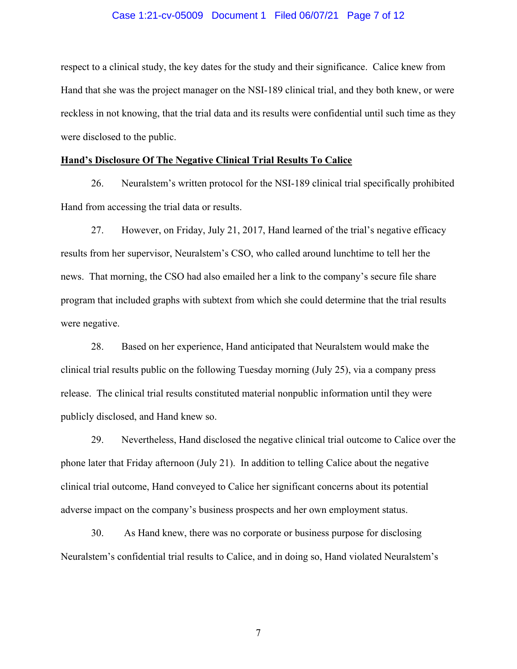#### Case 1:21-cv-05009 Document 1 Filed 06/07/21 Page 7 of 12

respect to a clinical study, the key dates for the study and their significance. Calice knew from Hand that she was the project manager on the NSI-189 clinical trial, and they both knew, or were reckless in not knowing, that the trial data and its results were confidential until such time as they were disclosed to the public.

### **Hand's Disclosure Of The Negative Clinical Trial Results To Calice**

26. Neuralstem's written protocol for the NSI-189 clinical trial specifically prohibited Hand from accessing the trial data or results.

27. However, on Friday, July 21, 2017, Hand learned of the trial's negative efficacy results from her supervisor, Neuralstem's CSO, who called around lunchtime to tell her the news. That morning, the CSO had also emailed her a link to the company's secure file share program that included graphs with subtext from which she could determine that the trial results were negative.

28. Based on her experience, Hand anticipated that Neuralstem would make the clinical trial results public on the following Tuesday morning (July 25), via a company press release. The clinical trial results constituted material nonpublic information until they were publicly disclosed, and Hand knew so.

29. Nevertheless, Hand disclosed the negative clinical trial outcome to Calice over the phone later that Friday afternoon (July 21). In addition to telling Calice about the negative clinical trial outcome, Hand conveyed to Calice her significant concerns about its potential adverse impact on the company's business prospects and her own employment status.

30. As Hand knew, there was no corporate or business purpose for disclosing Neuralstem's confidential trial results to Calice, and in doing so, Hand violated Neuralstem's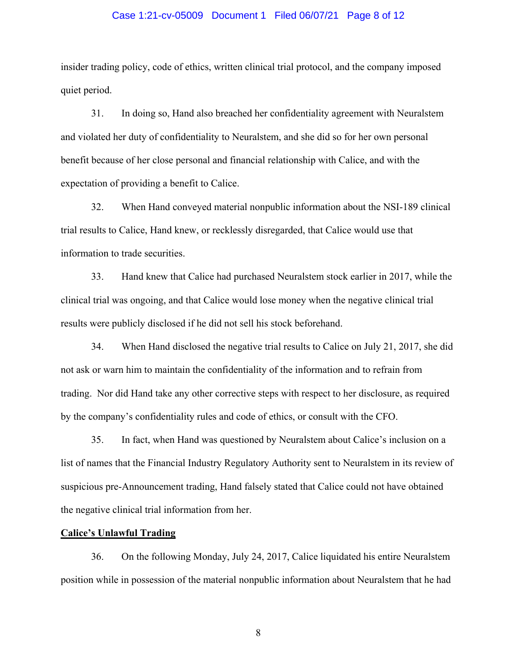#### Case 1:21-cv-05009 Document 1 Filed 06/07/21 Page 8 of 12

insider trading policy, code of ethics, written clinical trial protocol, and the company imposed quiet period.

31. In doing so, Hand also breached her confidentiality agreement with Neuralstem and violated her duty of confidentiality to Neuralstem, and she did so for her own personal benefit because of her close personal and financial relationship with Calice, and with the expectation of providing a benefit to Calice.

32. When Hand conveyed material nonpublic information about the NSI-189 clinical trial results to Calice, Hand knew, or recklessly disregarded, that Calice would use that information to trade securities.

33. Hand knew that Calice had purchased Neuralstem stock earlier in 2017, while the clinical trial was ongoing, and that Calice would lose money when the negative clinical trial results were publicly disclosed if he did not sell his stock beforehand.

34. When Hand disclosed the negative trial results to Calice on July 21, 2017, she did not ask or warn him to maintain the confidentiality of the information and to refrain from trading. Nor did Hand take any other corrective steps with respect to her disclosure, as required by the company's confidentiality rules and code of ethics, or consult with the CFO.

35. In fact, when Hand was questioned by Neuralstem about Calice's inclusion on a list of names that the Financial Industry Regulatory Authority sent to Neuralstem in its review of suspicious pre-Announcement trading, Hand falsely stated that Calice could not have obtained the negative clinical trial information from her.

### **Calice's Unlawful Trading**

36. On the following Monday, July 24, 2017, Calice liquidated his entire Neuralstem position while in possession of the material nonpublic information about Neuralstem that he had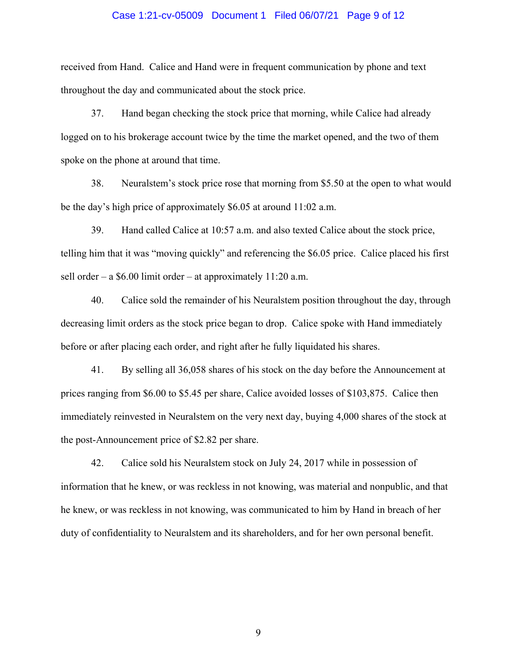#### Case 1:21-cv-05009 Document 1 Filed 06/07/21 Page 9 of 12

received from Hand. Calice and Hand were in frequent communication by phone and text throughout the day and communicated about the stock price.

37. Hand began checking the stock price that morning, while Calice had already logged on to his brokerage account twice by the time the market opened, and the two of them spoke on the phone at around that time.

38. Neuralstem's stock price rose that morning from \$5.50 at the open to what would be the day's high price of approximately \$6.05 at around 11:02 a.m.

39. Hand called Calice at 10:57 a.m. and also texted Calice about the stock price, telling him that it was "moving quickly" and referencing the \$6.05 price. Calice placed his first sell order – a \$6.00 limit order – at approximately 11:20 a.m.

40. Calice sold the remainder of his Neuralstem position throughout the day, through decreasing limit orders as the stock price began to drop. Calice spoke with Hand immediately before or after placing each order, and right after he fully liquidated his shares.

41. By selling all 36,058 shares of his stock on the day before the Announcement at prices ranging from \$6.00 to \$5.45 per share, Calice avoided losses of \$103,875. Calice then immediately reinvested in Neuralstem on the very next day, buying 4,000 shares of the stock at the post-Announcement price of \$2.82 per share.

42. Calice sold his Neuralstem stock on July 24, 2017 while in possession of information that he knew, or was reckless in not knowing, was material and nonpublic, and that he knew, or was reckless in not knowing, was communicated to him by Hand in breach of her duty of confidentiality to Neuralstem and its shareholders, and for her own personal benefit.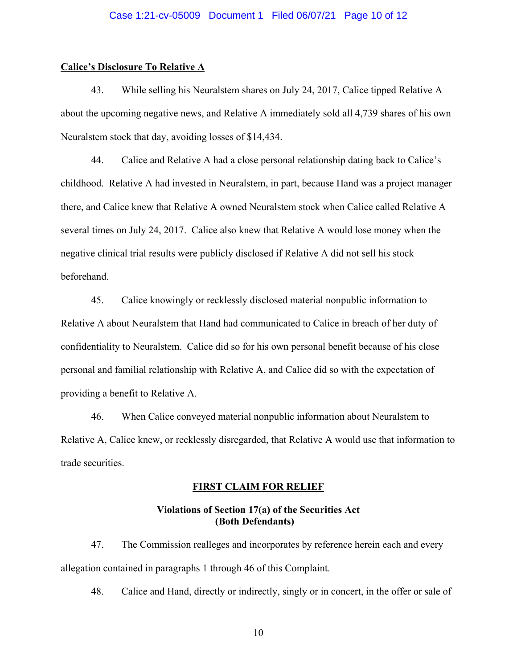### Case 1:21-cv-05009 Document 1 Filed 06/07/21 Page 10 of 12

### **Calice's Disclosure To Relative A**

43. While selling his Neuralstem shares on July 24, 2017, Calice tipped Relative A about the upcoming negative news, and Relative A immediately sold all 4,739 shares of his own Neuralstem stock that day, avoiding losses of \$14,434.

44. Calice and Relative A had a close personal relationship dating back to Calice's childhood. Relative A had invested in Neuralstem, in part, because Hand was a project manager there, and Calice knew that Relative A owned Neuralstem stock when Calice called Relative A several times on July 24, 2017. Calice also knew that Relative A would lose money when the negative clinical trial results were publicly disclosed if Relative A did not sell his stock beforehand.

45. Calice knowingly or recklessly disclosed material nonpublic information to Relative A about Neuralstem that Hand had communicated to Calice in breach of her duty of confidentiality to Neuralstem. Calice did so for his own personal benefit because of his close personal and familial relationship with Relative A, and Calice did so with the expectation of providing a benefit to Relative A.

46. When Calice conveyed material nonpublic information about Neuralstem to Relative A, Calice knew, or recklessly disregarded, that Relative A would use that information to trade securities.

#### **FIRST CLAIM FOR RELIEF**

# **Violations of Section 17(a) of the Securities Act (Both Defendants)**

47. The Commission realleges and incorporates by reference herein each and every allegation contained in paragraphs 1 through 46 of this Complaint.

48. Calice and Hand, directly or indirectly, singly or in concert, in the offer or sale of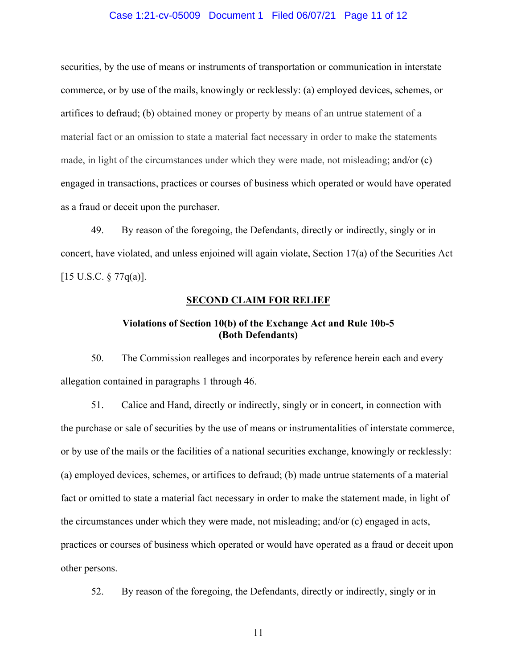#### Case 1:21-cv-05009 Document 1 Filed 06/07/21 Page 11 of 12

securities, by the use of means or instruments of transportation or communication in interstate commerce, or by use of the mails, knowingly or recklessly: (a) employed devices, schemes, or artifices to defraud; (b) obtained money or property by means of an untrue statement of a material fact or an omission to state a material fact necessary in order to make the statements made, in light of the circumstances under which they were made, not misleading; and/or (c) engaged in transactions, practices or courses of business which operated or would have operated as a fraud or deceit upon the purchaser.

49. By reason of the foregoing, the Defendants, directly or indirectly, singly or in concert, have violated, and unless enjoined will again violate, Section 17(a) of the Securities Act  $[15 \text{ U.S.C.} \$  77q(a)].

#### **SECOND CLAIM FOR RELIEF**

# **Violations of Section 10(b) of the Exchange Act and Rule 10b-5 (Both Defendants)**

50. The Commission realleges and incorporates by reference herein each and every allegation contained in paragraphs 1 through 46.

51. Calice and Hand, directly or indirectly, singly or in concert, in connection with the purchase or sale of securities by the use of means or instrumentalities of interstate commerce, or by use of the mails or the facilities of a national securities exchange, knowingly or recklessly: (a) employed devices, schemes, or artifices to defraud; (b) made untrue statements of a material fact or omitted to state a material fact necessary in order to make the statement made, in light of the circumstances under which they were made, not misleading; and/or (c) engaged in acts, practices or courses of business which operated or would have operated as a fraud or deceit upon other persons.

52. By reason of the foregoing, the Defendants, directly or indirectly, singly or in